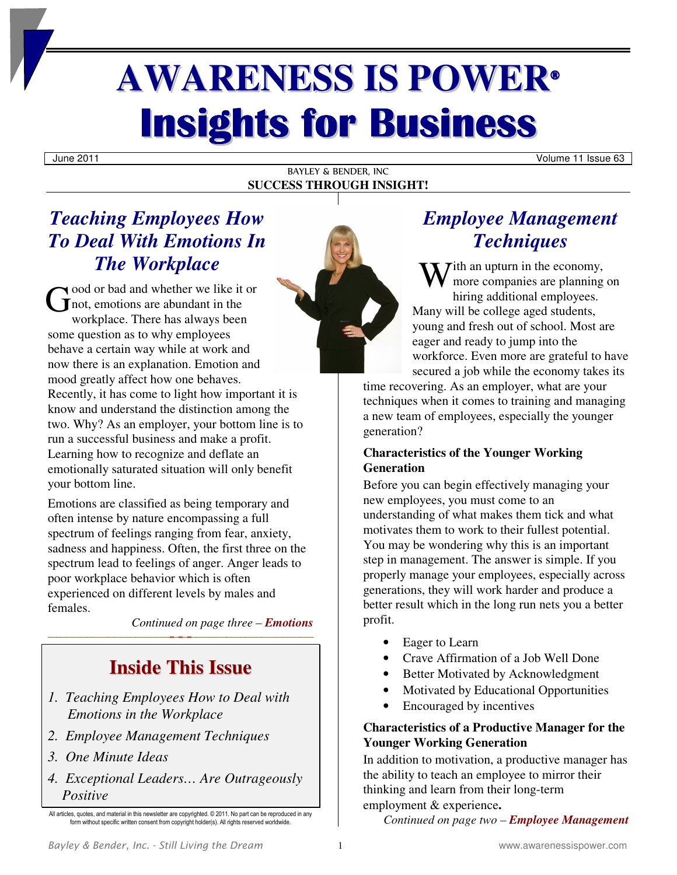# **AWARENESS IS POWER® Insights for Business**

June 2011 Volume 11 Issue 63

#### BAYLEY & BENDER, INC **SUCCESS THROUGH INSIGHT!**

# *Teaching Employees How To Deal With Emotions In*

ood or bad and whether we like it or not, emotions are abundant in the workplace. There has always been some question as to why employees behave a certain way while at work and now there is an explanation. Emotion and mood greatly affect how one behaves. Recently, it has come to light how important it is know and understand the distinction among the two. Why? As an employer, your bottom line is to run a successful business and make a profit. Learning how to recognize and deflate an emotionally saturated situation will only benefit your bottom line. G

*The Workplace* 

Emotions are classified as being temporary and often intense by nature encompassing a full spectrum of feelings ranging from fear, anxiety, sadness and happiness. Often, the first three on the spectrum lead to feelings of anger. Anger leads to poor workplace behavior which is often experienced on different levels by males and females.

*Continued on page three – Emotions*

# **Inside This Issue**

- *1. Teaching Employees How to Deal with Emotions in the Workplace*
- *2. Employee Management Techniques*
- *3. One Minute Ideas*
- *4. Exceptional Leaders… Are Outrageously Positive*



# *Employee Management Techniques*

W ith an upturn in the economy,<br>more companies are planning<br>hiring additional employees more companies are planning on hiring additional employees. Many will be college aged students, young and fresh out of school. Most are eager and ready to jump into the workforce. Even more are grateful to have secured a job while the economy takes its

time recovering. As an employer, what are your techniques when it comes to training and managing a new team of employees, especially the younger generation?

#### **Characteristics of the Younger Working Generation**

Before you can begin effectively managing your new employees, you must come to an understanding of what makes them tick and what motivates them to work to their fullest potential. You may be wondering why this is an important step in management. The answer is simple. If you properly manage your employees, especially across generations, they will work harder and produce a better result which in the long run nets you a better profit.

- Eager to Learn
- Crave Affirmation of a Job Well Done
- Better Motivated by Acknowledgment
- Motivated by Educational Opportunities
- Encouraged by incentives

#### **Characteristics of a Productive Manager for the Younger Working Generation**

In addition to motivation, a productive manager has the ability to teach an employee to mirror their thinking and learn from their long-term employment & experience**.** 

*Continued on page two – Employee Management*

All articles, quotes, and material in this newsletter are copyrighted. © 2011. No part can be reproduced in any form without specific written consent from copyright holder(s). All rights reserved worldwide.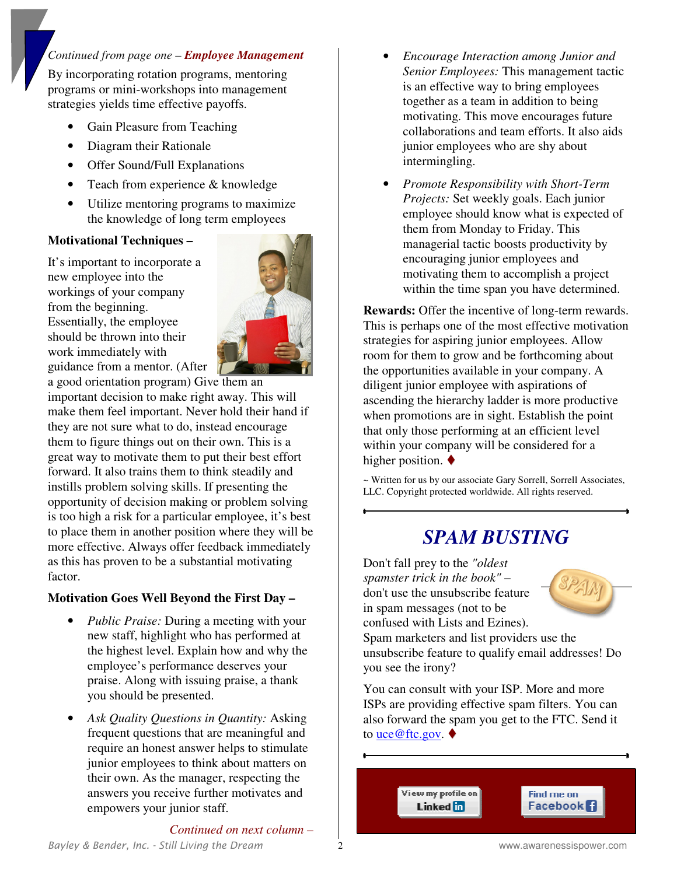#### *Continued from page one – Employee Management*

By incorporating rotation programs, mentoring programs or mini-workshops into management strategies yields time effective payoffs.

- Gain Pleasure from Teaching
- Diagram their Rationale
- Offer Sound/Full Explanations
- Teach from experience & knowledge
- Utilize mentoring programs to maximize the knowledge of long term employees

#### **Motivational Techniques –**

It's important to incorporate a new employee into the workings of your company from the beginning. Essentially, the employee should be thrown into their work immediately with guidance from a mentor. (After



a good orientation program) Give them an important decision to make right away. This will make them feel important. Never hold their hand if they are not sure what to do, instead encourage them to figure things out on their own. This is a great way to motivate them to put their best effort forward. It also trains them to think steadily and instills problem solving skills. If presenting the opportunity of decision making or problem solving is too high a risk for a particular employee, it's best to place them in another position where they will be more effective. Always offer feedback immediately as this has proven to be a substantial motivating factor.

#### **Motivation Goes Well Beyond the First Day –**

- *Public Praise:* During a meeting with your new staff, highlight who has performed at the highest level. Explain how and why the employee's performance deserves your praise. Along with issuing praise, a thank you should be presented.
- *Ask Quality Questions in Quantity:* Asking frequent questions that are meaningful and require an honest answer helps to stimulate junior employees to think about matters on their own. As the manager, respecting the answers you receive further motivates and empowers your junior staff.
- *Encourage Interaction among Junior and Senior Employees:* This management tactic is an effective way to bring employees together as a team in addition to being motivating. This move encourages future collaborations and team efforts. It also aids junior employees who are shy about intermingling.
- *Promote Responsibility with Short-Term Projects:* Set weekly goals. Each junior employee should know what is expected of them from Monday to Friday. This managerial tactic boosts productivity by encouraging junior employees and motivating them to accomplish a project within the time span you have determined.

**Rewards:** Offer the incentive of long-term rewards. This is perhaps one of the most effective motivation strategies for aspiring junior employees. Allow room for them to grow and be forthcoming about the opportunities available in your company. A diligent junior employee with aspirations of ascending the hierarchy ladder is more productive when promotions are in sight. Establish the point that only those performing at an efficient level within your company will be considered for a higher position.  $\blacklozenge$ 

~ Written for us by our associate Gary Sorrell, Sorrell Associates, LLC. Copyright protected worldwide. All rights reserved.

### *SPAM BUSTING*

Don't fall prey to the *"oldest spamster trick in the book"* – don't use the unsubscribe feature in spam messages (not to be confused with Lists and Ezines). Spam marketers and list providers use the unsubscribe feature to qualify email addresses! Do you see the irony?

You can consult with your ISP. More and more ISPs are providing effective spam filters. You can also forward the spam you get to the FTC. Send it to <u>uce@ftc.gov</u>. ♦

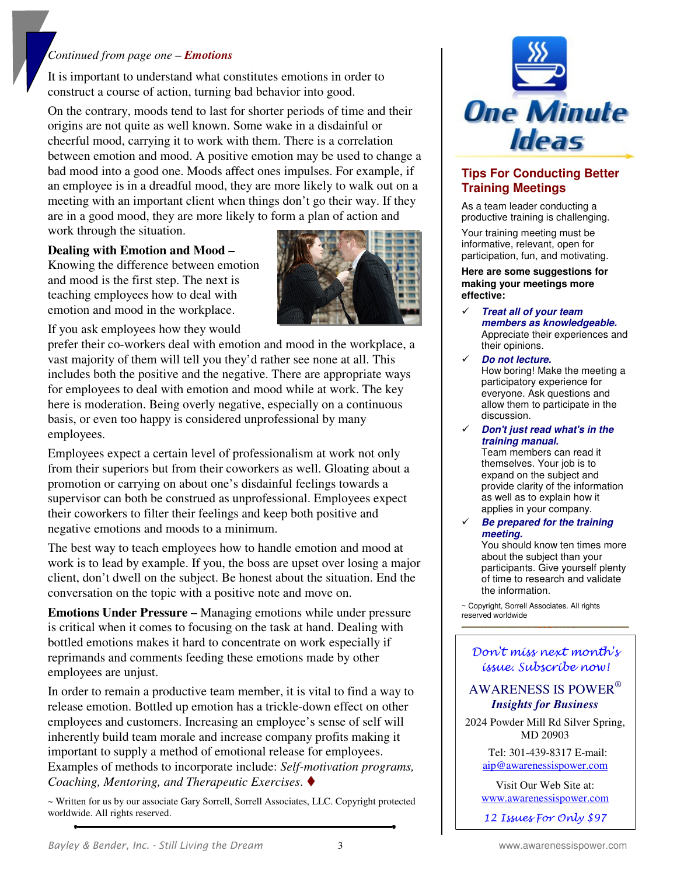#### *Continued from page one – Emotions*

It is important to understand what constitutes emotions in order to construct a course of action, turning bad behavior into good.

On the contrary, moods tend to last for shorter periods of time and their origins are not quite as well known. Some wake in a disdainful or cheerful mood, carrying it to work with them. There is a correlation between emotion and mood. A positive emotion may be used to change a bad mood into a good one. Moods affect ones impulses. For example, if an employee is in a dreadful mood, they are more likely to walk out on a meeting with an important client when things don't go their way. If they are in a good mood, they are more likely to form a plan of action and work through the situation.

#### **Dealing with Emotion and Mood –**

Knowing the difference between emotion and mood is the first step. The next is teaching employees how to deal with emotion and mood in the workplace.



If you ask employees how they would

prefer their co-workers deal with emotion and mood in the workplace, a vast majority of them will tell you they'd rather see none at all. This includes both the positive and the negative. There are appropriate ways for employees to deal with emotion and mood while at work. The key here is moderation. Being overly negative, especially on a continuous basis, or even too happy is considered unprofessional by many employees.

Employees expect a certain level of professionalism at work not only from their superiors but from their coworkers as well. Gloating about a promotion or carrying on about one's disdainful feelings towards a supervisor can both be construed as unprofessional. Employees expect their coworkers to filter their feelings and keep both positive and negative emotions and moods to a minimum.

The best way to teach employees how to handle emotion and mood at work is to lead by example. If you, the boss are upset over losing a major client, don't dwell on the subject. Be honest about the situation. End the conversation on the topic with a positive note and move on.

**Emotions Under Pressure –** Managing emotions while under pressure is critical when it comes to focusing on the task at hand. Dealing with bottled emotions makes it hard to concentrate on work especially if reprimands and comments feeding these emotions made by other employees are unjust.

In order to remain a productive team member, it is vital to find a way to release emotion. Bottled up emotion has a trickle-down effect on other employees and customers. Increasing an employee's sense of self will inherently build team morale and increase company profits making it important to supply a method of emotional release for employees. Examples of methods to incorporate include: *Self-motivation programs, Coaching, Mentoring, and Therapeutic Exercises*.

~ Written for us by our associate Gary Sorrell, Sorrell Associates, LLC. Copyright protected worldwide. All rights reserved.



#### **Tips For Conducting Better Training Meetings**

As a team leader conducting a productive training is challenging.

Your training meeting must be informative, relevant, open for participation, fun, and motivating.

**Here are some suggestions for making your meetings more effective:**

- $\checkmark$  **Treat all of your team members as knowledgeable.**  Appreciate their experiences and their opinions.
- **Do not lecture.**  How boring! Make the meeting a participatory experience for everyone. Ask questions and allow them to participate in the discussion.
- $\checkmark$  **Don't just read what's in the training manual.**

Team members can read it themselves. Your job is to expand on the subject and provide clarity of the information as well as to explain how it applies in your company.

 $\checkmark$  **Be prepared for the training meeting.** 

You should know ten times more about the subject than your participants. Give yourself plenty of time to research and validate the information.

~ Copyright, Sorrell Associates. All rights reserved worldwide

Don't miss next month's issue. Subscribe now!

#### AWARENESS IS POWER®  *Insights for Business*

2024 Powder Mill Rd Silver Spring, MD 20903

> Tel: 301-439-8317 E-mail: aip@awarenessispower.com

> Visit Our Web Site at: www.awarenessispower.com

12 Issues For Only \$97